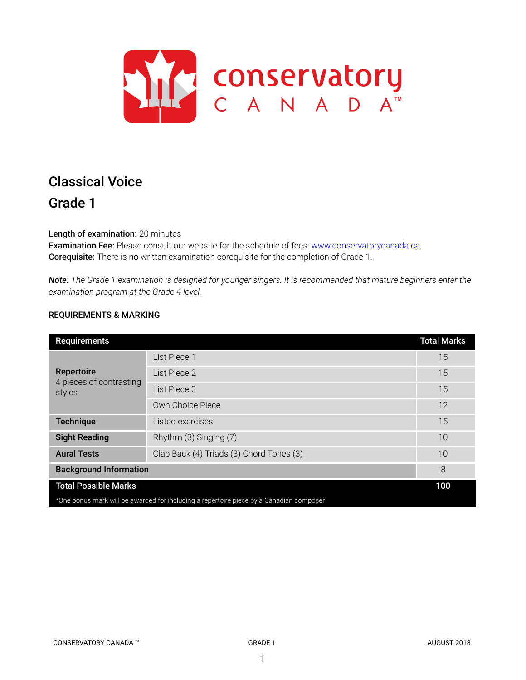

# Classical Voice Grade 1

Length of examination: 20 minutes

Examination Fee: Please consult our website for the schedule of fees: www.conservatorycanada.ca Corequisite: There is no written examination corequisite for the completion of Grade 1.

Note: The Grade 1 examination is designed for younger singers. It is recommended that mature beginners enter the *examination program at the Grade 4 level.*

## REQUIREMENTS & MARKING

| <b>Requirements</b>                                                                     |                                          | <b>Total Marks</b> |
|-----------------------------------------------------------------------------------------|------------------------------------------|--------------------|
| Repertoire<br>4 pieces of contrasting<br>styles                                         | List Piece 1                             | 15                 |
|                                                                                         | List Piece 2                             | 15                 |
|                                                                                         | List Piece 3                             | 15                 |
|                                                                                         | Own Choice Piece                         | 12                 |
| <b>Technique</b>                                                                        | Listed exercises                         | 15                 |
| <b>Sight Reading</b>                                                                    | Rhythm (3) Singing (7)                   | 10                 |
| <b>Aural Tests</b>                                                                      | Clap Back (4) Triads (3) Chord Tones (3) | 10                 |
| <b>Background Information</b>                                                           |                                          | 8                  |
| <b>Total Possible Marks</b>                                                             |                                          | 100                |
| *One bonus mark will be awarded for including a repertoire piece by a Canadian composer |                                          |                    |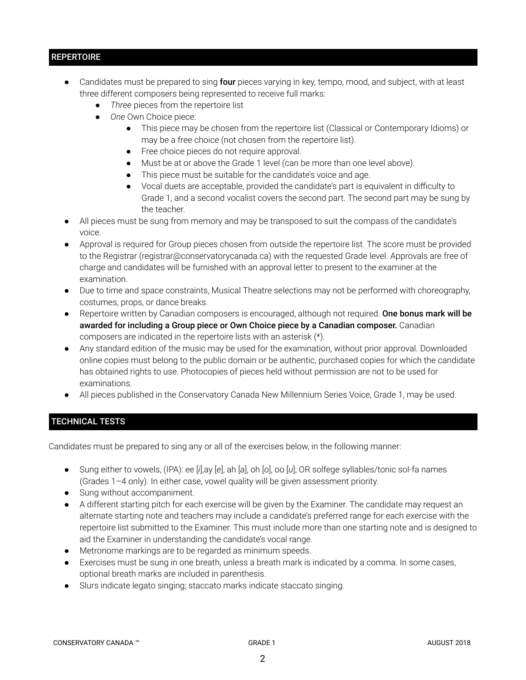## **REPERTOIRE**

- Candidates must be prepared to sing four pieces varying in key, tempo, mood, and subject, with at least three different composers being represented to receive full marks:
	- *Three* pieces from the repertoire list
	- *One* Own Choice piece:
		- This piece may be chosen from the repertoire list (Classical or Contemporary Idioms) or may be a free choice (not chosen from the repertoire list).
		- Free choice pieces do not require approval.
		- Must be at or above the Grade 1 level (can be more than one level above).
		- This piece must be suitable for the candidate's voice and age.
		- Vocal duets are acceptable, provided the candidate's part is equivalent in difficulty to Grade 1, and a second vocalist covers the second part. The second part may be sung by the teacher.
- All pieces must be sung from memory and may be transposed to suit the compass of the candidate's voice.
- Approval is required for Group pieces chosen from outside the repertoire list. The score must be provided to the Registrar (registrar@conservatorycanada.ca) with the requested Grade level. Approvals are free of charge and candidates will be furnished with an approval letter to present to the examiner at the examination.
- Due to time and space constraints, Musical Theatre selections may not be performed with choreography, costumes, props, or dance breaks.
- Repertoire written by Canadian composers is encouraged, although not required. One bonus mark will be awarded for including a Group piece or Own Choice piece by a Canadian composer. Canadian composers are indicated in the repertoire lists with an asterisk (\*).
- Any standard edition of the music may be used for the examination, without prior approval. Downloaded online copies must belong to the public domain or be authentic, purchased copies for which the candidate has obtained rights to use. Photocopies of pieces held without permission are not to be used for examinations.
- All pieces published in the Conservatory Canada New Millennium Series Voice, Grade 1, may be used.

## TECHNICAL TESTS

Candidates must be prepared to sing any or all of the exercises below, in the following manner:

- Sung either to vowels, (IPA): ee [*i*],ay [*e*], ah [*a*], oh [*o*], oo [*u*]; OR solfege syllables/tonic sol-fa names (Grades 1–4 only). In either case, vowel quality will be given assessment priority.
- Sung without accompaniment.
- A different starting pitch for each exercise will be given by the Examiner. The candidate may request an alternate starting note and teachers may include a candidate's preferred range for each exercise with the repertoire list submitted to the Examiner. This must include more than one starting note and is designed to aid the Examiner in understanding the candidate's vocal range.
- Metronome markings are to be regarded as minimum speeds.
- Exercises must be sung in one breath, unless a breath mark is indicated by a comma. In some cases, optional breath marks are included in parenthesis.
- Slurs indicate legato singing; staccato marks indicate staccato singing.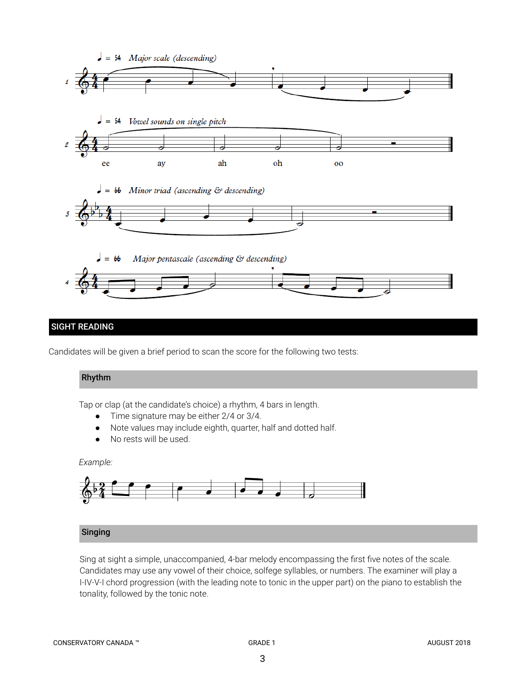

## SIGHT READING

Candidates will be given a brief period to scan the score for the following two tests:

## Rhythm

Tap or clap (at the candidate's choice) a rhythm, 4 bars in length.

- Time signature may be either 2/4 or 3/4.
- Note values may include eighth, quarter, half and dotted half.
- No rests will be used.

#### *Example:*



## Singing

Sing at sight a simple, unaccompanied, 4-bar melody encompassing the first five notes of the scale. Candidates may use any vowel of their choice, solfege syllables, or numbers. The examiner will play a I-IV-V-I chord progression (with the leading note to tonic in the upper part) on the piano to establish the tonality, followed by the tonic note.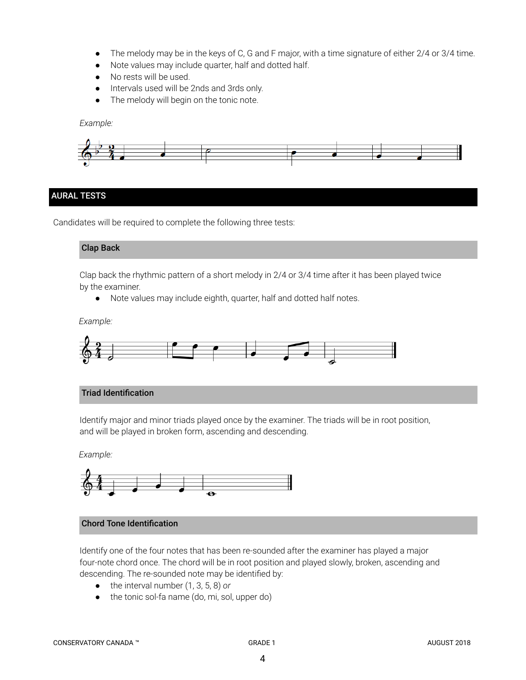- *●* The melody may be in the keys of C, G and F major, with a time signature of either 2/4 or 3/4 time.
- Note values may include quarter, half and dotted half.
- No rests will be used.
- Intervals used will be 2nds and 3rds only.
- The melody will begin on the tonic note.

*Example:*



## AURAL TESTS

Candidates will be required to complete the following three tests:

#### Clap Back

Clap back the rhythmic pattern of a short melody in 2/4 or 3/4 time after it has been played twice by the examiner.

● Note values may include eighth, quarter, half and dotted half notes.

#### *Example:*



#### Triad Identification

Identify major and minor triads played once by the examiner. The triads will be in root position, and will be played in broken form, ascending and descending.

*Example:*



#### Chord Tone Identification

Identify one of the four notes that has been re-sounded after the examiner has played a major four-note chord once. The chord will be in root position and played slowly, broken, ascending and descending. The re-sounded note may be identified by:

- the interval number (1, 3, 5, 8) *or*
- the tonic sol-fa name (do, mi, sol, upper do)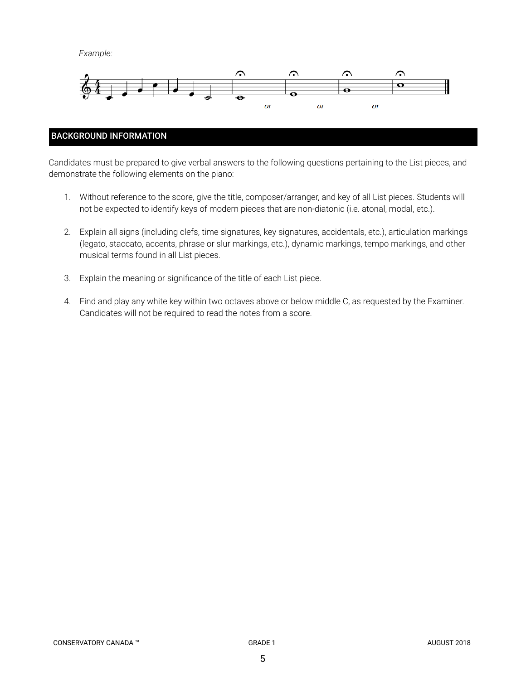*Example:*



## BACKGROUND INFORMATION

Candidates must be prepared to give verbal answers to the following questions pertaining to the List pieces, and demonstrate the following elements on the piano:

- 1. Without reference to the score, give the title, composer/arranger, and key of all List pieces. Students will not be expected to identify keys of modern pieces that are non-diatonic (i.e. atonal, modal, etc.).
- 2. Explain all signs (including clefs, time signatures, key signatures, accidentals, etc.), articulation markings (legato, staccato, accents, phrase or slur markings, etc.), dynamic markings, tempo markings, and other musical terms found in all List pieces.
- 3. Explain the meaning or significance of the title of each List piece.
- 4. Find and play any white key within two octaves above or below middle C, as requested by the Examiner. Candidates will not be required to read the notes from a score.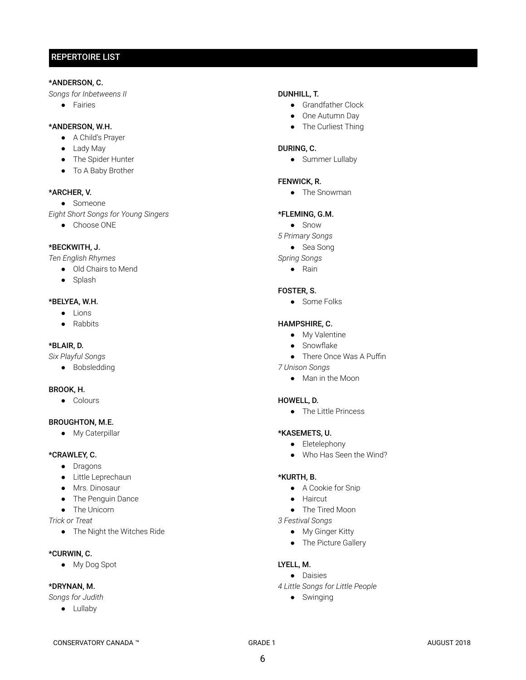# REPERTOIRE LIST

#### \*ANDERSON, C.

*Songs for Inbetweens II*

● Fairies

#### \*ANDERSON, W.H.

- A Child's Prayer
- Lady May
- The Spider Hunter
- To A Baby Brother

#### \*ARCHER, V.

● Someone

*Eight Short Songs for Young Singers*

● Choose ONE

#### \*BECKWITH, J.

*Ten English Rhymes*

- Old Chairs to Mend
- Splash

#### \*BELYEA, W.H.

- Lions
- Rabbits

## \*BLAIR, D.

*Six Playful Songs*

● Bobsledding

#### BROOK, H.

● Colours

#### BROUGHTON, M.E.

● My Caterpillar

## \*CRAWLEY, C.

- Dragons
- Little Leprechaun
- Mrs. Dinosaur
- The Penguin Dance
- The Unicorn
- *Trick or Treat*
	- The Night the Witches Ride

#### \*CURWIN, C.

● My Dog Spot

#### \*DRYNAN, M.

*Songs for Judith*

● Lullaby

#### DUNHILL, T.

- Grandfather Clock
- One Autumn Dav
- The Curliest Thing

#### DURING, C.

• Summer Lullaby

## FENWICK, R.

● The Snowman

#### \*FLEMING, G.M.

- Snow
- *5 Primary Songs*
	- Sea Song
- *Spring Songs*
	- Rain

#### FOSTER, S.

● Some Folks

## HAMPSHIRE, C.

- My Valentine
- Snowflake
- There Once Was A Puffin
- *7 Unison Songs*
	- Man in the Moon

#### HOWELL, D.

● The Little Princess

#### \*KASEMETS, U.

- Eletelephony
- Who Has Seen the Wind?

#### \*KURTH, B.

- A Cookie for Snip
- Haircut
- The Tired Moon
- *3 Festival Songs*
	- My Ginger Kitty
	- The Picture Gallery

#### LYELL, M.

- Daisies
- *4 Little Songs for Little People*
	- Swinging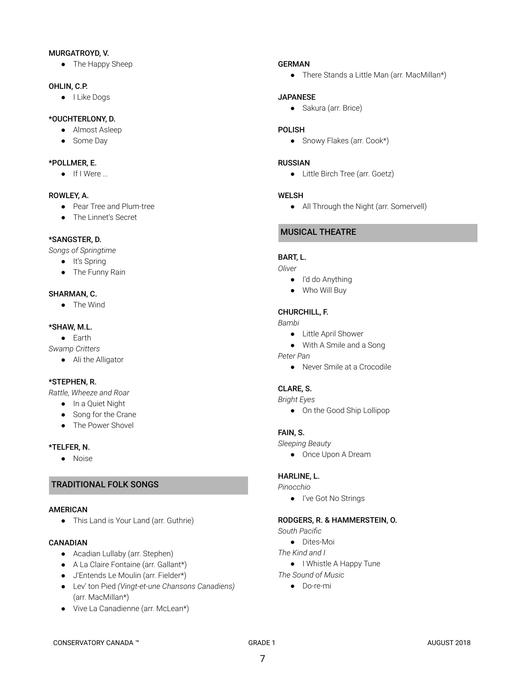#### MURGATROYD, V.

• The Happy Sheep

#### OHLIN, C.P.

● I Like Dogs

## \*OUCHTERLONY, D.

- Almost Asleep
- Some Day

#### \*POLLMER, E.

● If I Were …

#### ROWLEY, A.

- Pear Tree and Plum-tree
- The Linnet's Secret

#### \*SANGSTER, D.

*Songs of Springtime*

- It's Spring
- The Funny Rain

#### SHARMAN, C.

● The Wind

#### \*SHAW, M.L.

● Earth *Swamp Critters*

● Ali the Alligator

#### \*STEPHEN, R.

*Rattle, Wheeze and Roar*

- In a Quiet Night
- Song for the Crane
- The Power Shovel

#### \*TELFER, N.

● Noise

## TRADITIONAL FOLK SONGS

#### AMERICAN

● This Land is Your Land (arr. Guthrie)

#### CANADIAN

- Acadian Lullaby (arr. Stephen)
- A La Claire Fontaine (arr. Gallant\*)
- J'Entends Le Moulin (arr. Fielder\*)
- Lev' ton Pied *(Vingt-et-une Chansons Canadiens)* (arr. MacMillan\*)
- Vive La Canadienne (arr. McLean\*)

#### GERMAN

● There Stands a Little Man (arr. MacMillan\*)

#### JAPANESE

● Sakura (arr. Brice)

#### POLISH

● Snowy Flakes (arr. Cook\*)

#### RUSSIAN

● Little Birch Tree (arr. Goetz)

#### WELSH

● All Through the Night (arr. Somervell)

## MUSICAL THEATRE

#### BART, L.

*Oliver*

- I'd do Anything
- Who Will Buy

#### CHURCHILL, F.

*Bambi*

- Little April Shower
- With A Smile and a Song

*Peter Pan*

● Never Smile at a Crocodile

## CLARE, S.

*Bright Eyes*

● On the Good Ship Lollipop

#### FAIN, S.

*Sleeping Beauty*

● Once Upon A Dream

#### HARLINE, L.

*Pinocchio*

● I've Got No Strings

#### RODGERS, R. & HAMMERSTEIN, O.

*South Pacific*

- Dites-Moi
- *The Kind and I*
- I Whistle A Happy Tune
- *The Sound of Music*
	- Do-re-mi